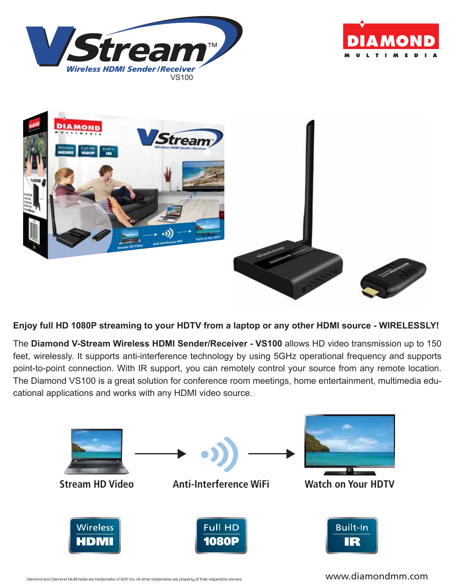





**Enjoy full HD 1080P streaming to your HDTV from a laptop or any other HDMI source - WIRELESSLY!**

The **Diamond V-Stream Wireless HDMI Sender/Receiver - VS100** allows HD video transmission up to 150 feet, wirelessly. It supports anti-interference technology by using 5GHz operational frequency and supports point-to-point connection. With IR support, you can remotely control your source from any remote location. The Diamond VS100 is a great solution for conference room meetings, home entertainment, multimedia educational applications and works with any HDMI video source.

![](_page_0_Figure_5.jpeg)

Diamond and Diamond Multimedia are trademarks of BDP Inc. All other trademarks are property of their respective owners. WWW.diamond MMM.com